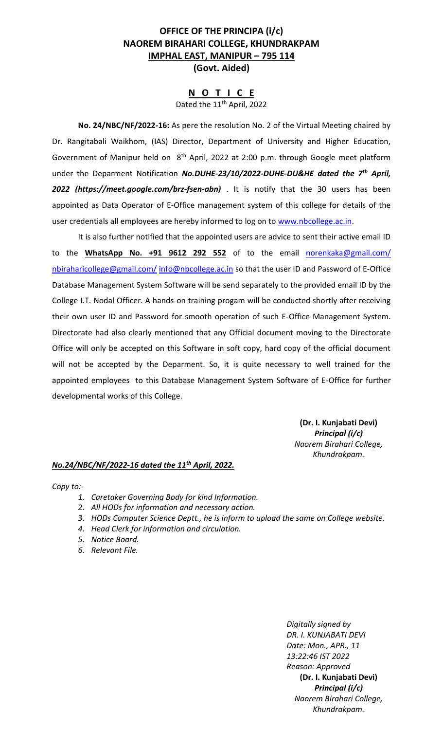# **OFFICE OF THE PRINCIPA (i/c) NAOREM BIRAHARI COLLEGE, KHUNDRAKPAM IMPHAL EAST, MANIPUR – 795 114 (Govt. Aided)**

#### **N O T I C E** Dated the 11<sup>th</sup> April, 2022

**No. 24/NBC/NF/2022-16:** As pere the resolution No. 2 of the Virtual Meeting chaired by Dr. Rangitabali Waikhom, (IAS) Director, Department of University and Higher Education, Government of Manipur held on 8<sup>th</sup> April, 2022 at 2:00 p.m. through Google meet platform under the Deparment Notification *No.DUHE-23/10/2022-DUHE-DU&HE dated the 7th April, 2022 (https://meet.google.com/brz-fsen-abn)* . It is notify that the 30 users has been appointed as Data Operator of E-Office management system of this college for details of the user credentials all employees are hereby informed to log on to [www.nbcollege.ac.in.](http://www.nbcollege.ac.in/)

It is also further notified that the appointed users are advice to sent their active email ID to the WhatsApp No. +91 9612 292 552 of to the email [norenkaka@gmail.com/](mailto:norenkaka@gmail.com/) [nbiraharicollege@gmail.com/](mailto:nbiraharicollege@gmail.com/) [info@nbcollege.ac.in](mailto:info@nbcollege.ac.in) so that the user ID and Password of E-Office Database Management System Software will be send separately to the provided email ID by the College I.T. Nodal Officer. A hands-on training progam will be conducted shortly after receiving their own user ID and Password for smooth operation of such E-Office Management System. Directorate had also clearly mentioned that any Official document moving to the Directorate Office will only be accepted on this Software in soft copy, hard copy of the official document will not be accepted by the Deparment. So, it is quite necessary to well trained for the appointed employees to this Database Management System Software of E-Office for further developmental works of this College.

> **(Dr. I. Kunjabati Devi)** *Principal (i/c) Naorem Birahari College, Khundrakpam.*

# *No.24/NBC/NF/2022-16 dated the 11th April, 2022.*

*Copy to:-*

- *1. Caretaker Governing Body for kind Information.*
- *2. All HODs for information and necessary action.*
- *3. HODs Computer Science Deptt., he is inform to upload the same on College website.*
- *4. Head Clerk for information and circulation.*
- *5. Notice Board.*
- *6. Relevant File.*

*Digitally signed by DR. I. KUNJABATI DEVI Date: Mon., APR., 11 13:22:46 IST 2022 Reason: Approved* **(Dr. I. Kunjabati Devi)** *Principal (i/c) Naorem Birahari College, Khundrakpam.*